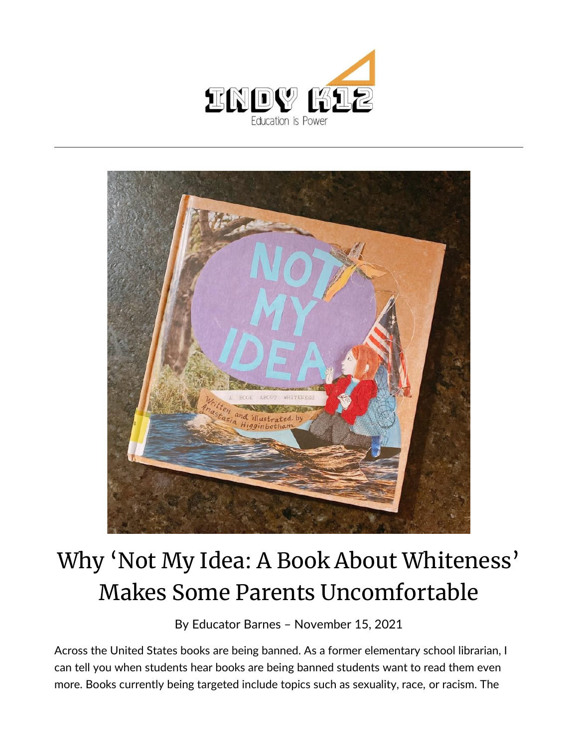



## Why 'Not My Idea: A Book About Whiteness' Makes Some Parents Uncomfortable

By [Educator Barnes](https://indy.education/author/shicole/) – November 15, 2021

Across the United States books are being banned. As a former elementary school librarian, I can tell you when students hear books are being banned students want to read them even more. Books currently being targeted include topics such as sexuality, race, or racism. The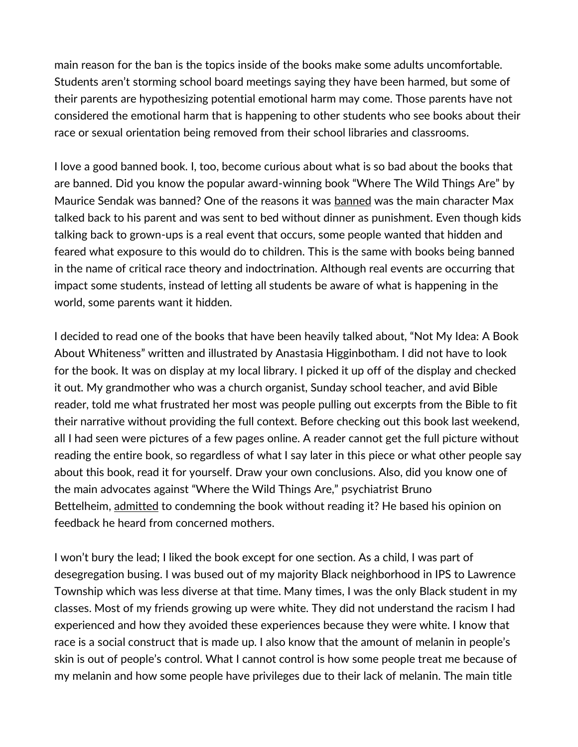main reason for the ban is the topics inside of the books make some adults uncomfortable. Students aren't storming school board meetings saying they have been harmed, but some of their parents are hypothesizing potential emotional harm may come. Those parents have not considered the emotional harm that is happening to other students who see books about their race or sexual orientation being removed from their school libraries and classrooms.

I love a good banned book. I, too, become curious about what is so bad about the books that are banned. Did you know the popular award-winning book "Where The Wild Things Are" by Maurice Sendak was banned? One of the reasons it was [banned](https://www.mentalfloss.com/article/63947/10-fun-facts-about-where-wild-things-are) was the main character Max talked back to his parent and was sent to bed without dinner as punishment. Even though kids talking back to grown-ups is a real event that occurs, some people wanted that hidden and feared what exposure to this would do to children. This is the same with books being banned in the name of critical race theory and indoctrination. Although real events are occurring that impact some students, instead of letting all students be aware of what is happening in the world, some parents want it hidden.

I decided to read one of the books that have been heavily talked about, "Not My Idea: A Book About Whiteness" written and illustrated by Anastasia Higginbotham. I did not have to look for the book. It was on display at my local library. I picked it up off of the display and checked it out. My grandmother who was a church organist, Sunday school teacher, and avid Bible reader, told me what frustrated her most was people pulling out excerpts from the Bible to fit their narrative without providing the full context. Before checking out this book last weekend, all I had seen were pictures of a few pages online. A reader cannot get the full picture without reading the entire book, so regardless of what I say later in this piece or what other people say about this book, read it for yourself. Draw your own conclusions. Also, did you know one of the main advocates against "Where the Wild Things Are," psychiatrist Bruno Bettelheim, [admitted](https://slate.com/news-and-politics/2009/10/where-the-wild-things-are-author-maurice-sendak-can-t-stoppositioning-himself-as-bruno-bettelheim-s-victim.html) to condemning the book without reading it? He based his opinion on feedback he heard from concerned mothers.

I won't bury the lead; I liked the book except for one section. As a child, I was part of desegregation busing. I was bused out of my majority Black neighborhood in IPS to Lawrence Township which was less diverse at that time. Many times, I was the only Black student in my classes. Most of my friends growing up were white. They did not understand the racism I had experienced and how they avoided these experiences because they were white. I know that race is a social construct that is made up. I also know that the amount of melanin in people's skin is out of people's control. What I cannot control is how some people treat me because of my melanin and how some people have privileges due to their lack of melanin. The main title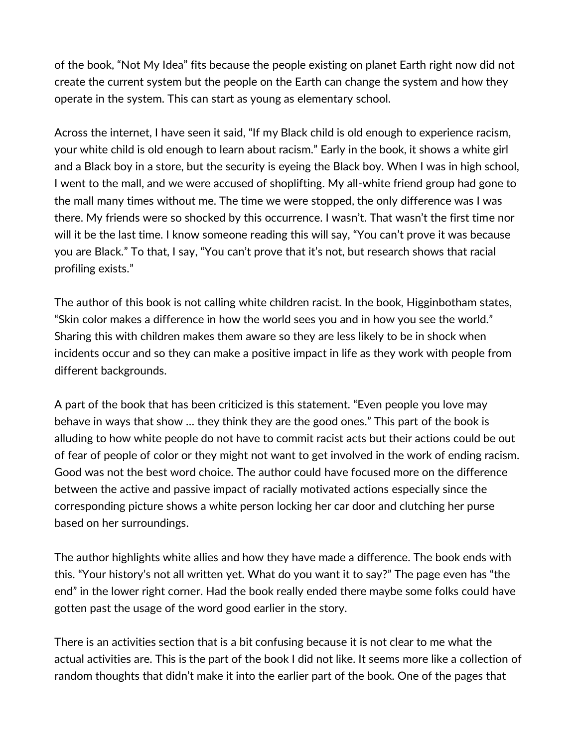of the book, "Not My Idea" fits because the people existing on planet Earth right now did not create the current system but the people on the Earth can change the system and how they operate in the system. This can start as young as elementary school.

Across the internet, I have seen it said, "If my Black child is old enough to experience racism, your white child is old enough to learn about racism." Early in the book, it shows a white girl and a Black boy in a store, but the security is eyeing the Black boy. When I was in high school, I went to the mall, and we were accused of shoplifting. My all-white friend group had gone to the mall many times without me. The time we were stopped, the only difference was I was there. My friends were so shocked by this occurrence. I wasn't. That wasn't the first time nor will it be the last time. I know someone reading this will say, "You can't prove it was because you are Black." To that, I say, "You can't prove that it's not, but research shows that racial profiling exists."

The author of this book is not calling white children racist. In the book, Higginbotham states, "Skin color makes a difference in how the world sees you and in how you see the world." Sharing this with children makes them aware so they are less likely to be in shock when incidents occur and so they can make a positive impact in life as they work with people from different backgrounds.

A part of the book that has been criticized is this statement. "Even people you love may behave in ways that show … they think they are the good ones." This part of the book is alluding to how white people do not have to commit racist acts but their actions could be out of fear of people of color or they might not want to get involved in the work of ending racism. Good was not the best word choice. The author could have focused more on the difference between the active and passive impact of racially motivated actions especially since the corresponding picture shows a white person locking her car door and clutching her purse based on her surroundings.

The author highlights white allies and how they have made a difference. The book ends with this. "Your history's not all written yet. What do you want it to say?" The page even has "the end" in the lower right corner. Had the book really ended there maybe some folks could have gotten past the usage of the word good earlier in the story.

There is an activities section that is a bit confusing because it is not clear to me what the actual activities are. This is the part of the book I did not like. It seems more like a collection of random thoughts that didn't make it into the earlier part of the book. One of the pages that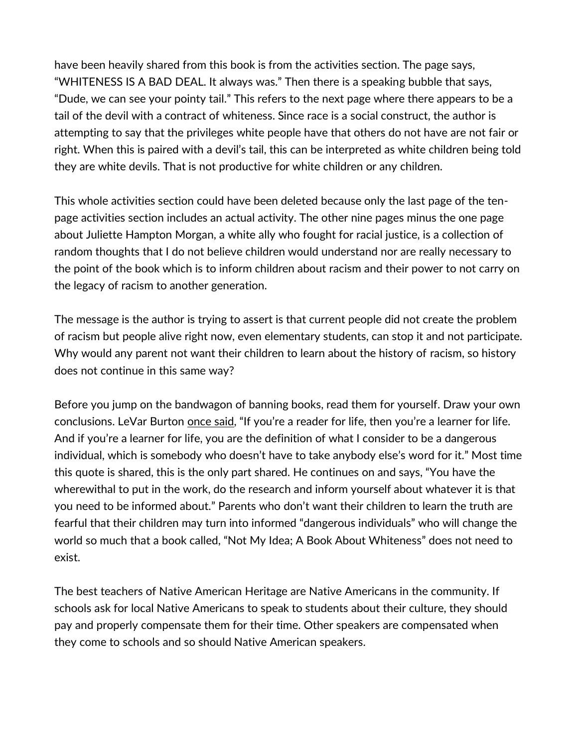have been heavily shared from this book is from the activities section. The page says, "WHITENESS IS A BAD DEAL. It always was." Then there is a speaking bubble that says, "Dude, we can see your pointy tail." This refers to the next page where there appears to be a tail of the devil with a contract of whiteness. Since race is a social construct, the author is attempting to say that the privileges white people have that others do not have are not fair or right. When this is paired with a devil's tail, this can be interpreted as white children being told they are white devils. That is not productive for white children or any children.

This whole activities section could have been deleted because only the last page of the tenpage activities section includes an actual activity. The other nine pages minus the one page about Juliette Hampton Morgan, a white ally who fought for racial justice, is a collection of random thoughts that I do not believe children would understand nor are really necessary to the point of the book which is to inform children about racism and their power to not carry on the legacy of racism to another generation.

The message is the author is trying to assert is that current people did not create the problem of racism but people alive right now, even elementary students, can stop it and not participate. Why would any parent not want their children to learn about the history of racism, so history does not continue in this same way?

Before you jump on the bandwagon of banning books, read them for yourself. Draw your own conclusions. LeVar Burton [once said](https://edtechmagazine.com/k12/article/2017/01/levar-burton-digital-devices-can-embrace-storytelling), "If you're a reader for life, then you're a learner for life. And if you're a learner for life, you are the definition of what I consider to be a dangerous individual, which is somebody who doesn't have to take anybody else's word for it." Most time this quote is shared, this is the only part shared. He continues on and says, "You have the wherewithal to put in the work, do the research and inform yourself about whatever it is that you need to be informed about." Parents who don't want their children to learn the truth are fearful that their children may turn into informed "dangerous individuals" who will change the world so much that a book called, "Not My Idea; A Book About Whiteness" does not need to exist.

The best teachers of Native American Heritage are Native Americans in the community. If schools ask for local Native Americans to speak to students about their culture, they should pay and properly compensate them for their time. Other speakers are compensated when they come to schools and so should Native American speakers.